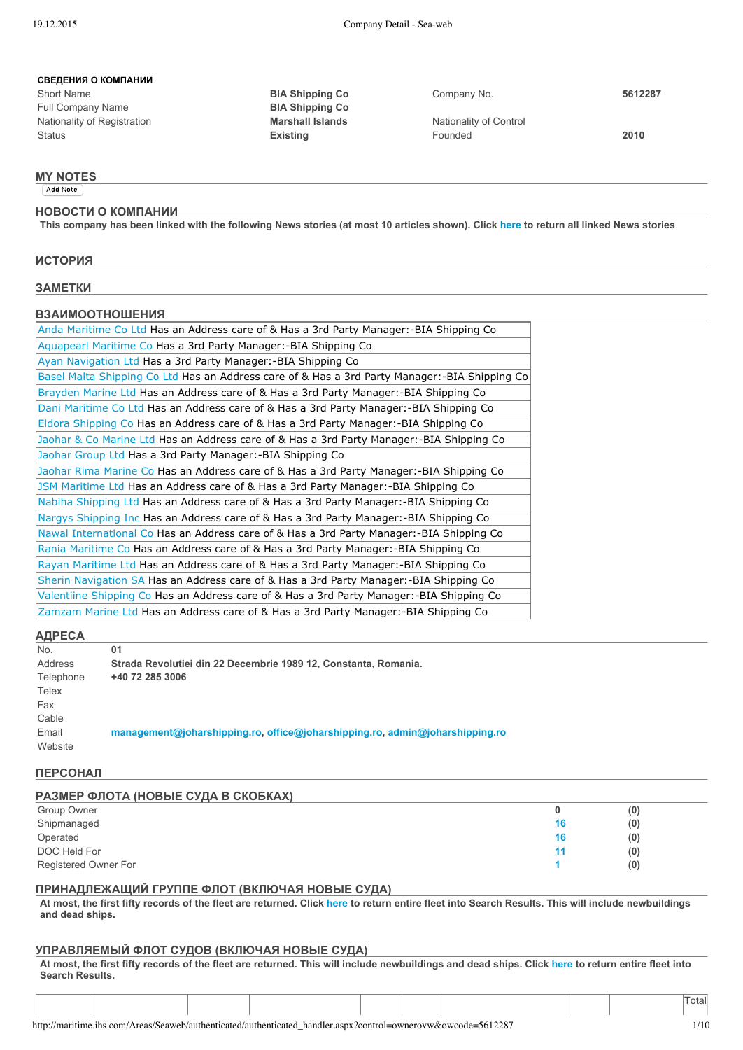#### **СВЕДЕНИЯ О КОМПАНИИ**

Short Name **BIA Shipping Co** Company No. **5612287** Full Company Name **BIA Shipping Co** Nationality of Registration **Marshall Islands** Nationality of Control Status **Existing** Founded **2010**

#### **MY NOTES**

Add Note

#### **НОВОСТИ О КОМПАНИИ**

This company has been linked with the following News stories (at most 10 articles shown). Click [here](http://maritime.ihs.com/Areas/Seaweb/authenticated/authenticated_handler.aspx?control=list&OWCODE=5612287&NewsType=OWCODE&ListType=News&bp=1) to return all linked News stories

#### **ИСТОРИЯ**

**ЗАМЕТКИ**

#### **ВЗАИМООТНОШЕНИЯ**

| Anda Maritime Co Ltd Has an Address care of & Has a 3rd Party Manager:-BIA Shipping Co        |
|-----------------------------------------------------------------------------------------------|
| Aquapearl Maritime Co Has a 3rd Party Manager:-BIA Shipping Co                                |
| Ayan Navigation Ltd Has a 3rd Party Manager:-BIA Shipping Co                                  |
| Basel Malta Shipping Co Ltd Has an Address care of & Has a 3rd Party Manager:-BIA Shipping Co |
| Brayden Marine Ltd Has an Address care of & Has a 3rd Party Manager:-BIA Shipping Co          |
| Dani Maritime Co Ltd Has an Address care of & Has a 3rd Party Manager:-BIA Shipping Co        |
| Eldora Shipping Co Has an Address care of & Has a 3rd Party Manager:-BIA Shipping Co          |
| Jaohar & Co Marine Ltd Has an Address care of & Has a 3rd Party Manager:-BIA Shipping Co      |
| Jaohar Group Ltd Has a 3rd Party Manager:-BIA Shipping Co                                     |
| Jaohar Rima Marine Co Has an Address care of & Has a 3rd Party Manager:-BIA Shipping Co       |
| JSM Maritime Ltd Has an Address care of & Has a 3rd Party Manager:-BIA Shipping Co            |
| Nabiha Shipping Ltd Has an Address care of & Has a 3rd Party Manager:-BIA Shipping Co         |
| Nargys Shipping Inc Has an Address care of & Has a 3rd Party Manager:-BIA Shipping Co         |
| Nawal International Co Has an Address care of & Has a 3rd Party Manager:-BIA Shipping Co      |
| Rania Maritime Co Has an Address care of & Has a 3rd Party Manager:-BIA Shipping Co           |
| Rayan Maritime Ltd Has an Address care of & Has a 3rd Party Manager:-BIA Shipping Co          |
| Sherin Navigation SA Has an Address care of & Has a 3rd Party Manager:-BIA Shipping Co        |
| Valentiine Shipping Co Has an Address care of & Has a 3rd Party Manager:-BIA Shipping Co      |
| Zamzam Marine Ltd Has an Address care of & Has a 3rd Party Manager:-BIA Shipping Co           |

#### **АДРЕСА**

| .         |                                                                              |
|-----------|------------------------------------------------------------------------------|
| No.       | 01                                                                           |
| Address   | Strada Revolutiei din 22 Decembrie 1989 12, Constanta, Romania.              |
| Telephone | +40 72 285 3006                                                              |
| Telex     |                                                                              |
| Fax       |                                                                              |
| Cable     |                                                                              |
| Email     | management@joharshipping.ro. office@joharshipping.ro. admin@joharshipping.ro |
| Website   |                                                                              |

#### **ПЕРСОНАЛ**

| РАЗМЕР ФЛОТА (НОВЫЕ СУДА В СКОБКАХ) |    |     |
|-------------------------------------|----|-----|
| Group Owner                         |    | (0) |
| Shipmanaged                         | 16 | (0) |
| Operated                            | 16 | (0) |
| DOC Held For                        | 11 | (0) |
| Registered Owner For                |    | (0) |

#### **ПРИНАДЛЕЖАЩИЙ ГРУППЕ ФЛОТ (ВКЛЮЧАЯ НОВЫЕ СУДА)**

At most, the first fifty records of the fleet are returned. Click [here](http://maritime.ihs.com/Areas/Seaweb/authenticated/authenticated_handler.aspx?control=list&SearchString=(GBOCODE+=+%275612287%27)&FieldList=&JoinExpressionAll=+&SpecialIndicator=&ListType=Ships&Size=20&bp=1) to return entire fleet into Search Results. This will include newbuildings **and dead ships.**

#### **УПРАВЛЯЕМЫЙ ФЛОТ СУДОВ (ВКЛЮЧАЯ НОВЫЕ СУДА)**

At most, the first fifty records of the fleet are returned. This will include newbuildings and dead ships. Click [here](http://maritime.ihs.com/Areas/Seaweb/authenticated/authenticated_handler.aspx?control=list&SearchString=(SHIPMANAGERCODE+=+%275612287%27)&FieldList=&JoinExpressionAll=+&SpecialIndicator=&ListType=Ships&Size=20&bp=1) to return entire fleet into **Search Results.**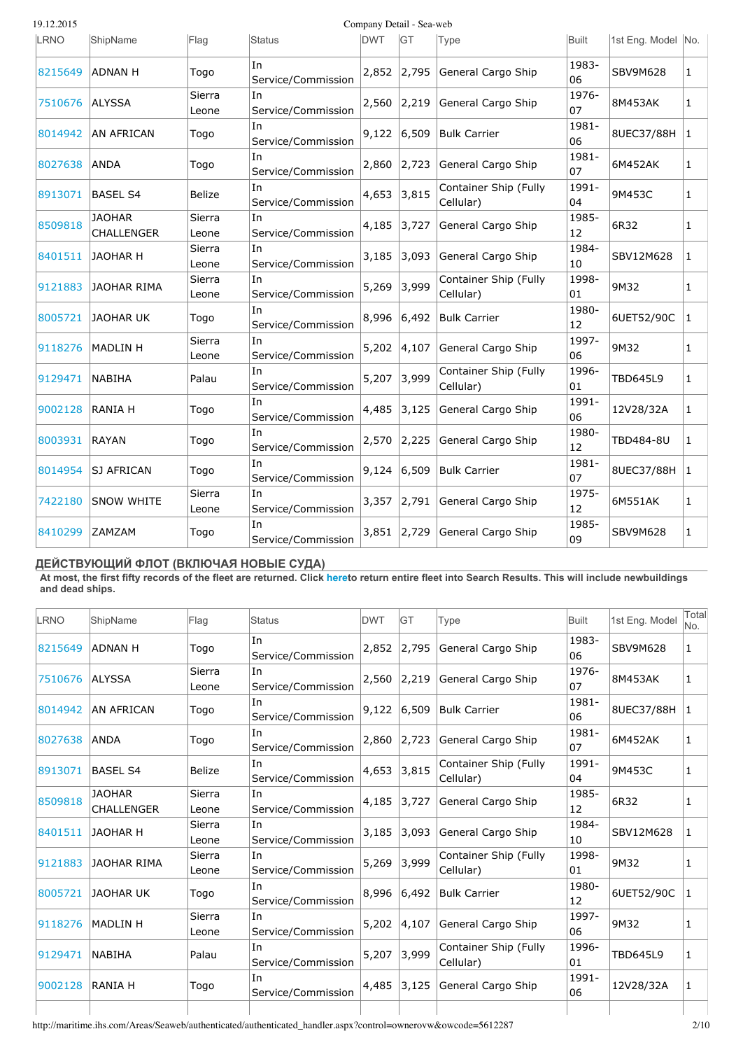| 19.12.2015 |                                    |                 | Company Detail - Sea-web  |            |           |                                    |             |                    |              |  |  |  |
|------------|------------------------------------|-----------------|---------------------------|------------|-----------|------------------------------------|-------------|--------------------|--------------|--|--|--|
| LRNO       | ShipName                           | Flag            | Status                    | <b>DWT</b> | <b>GT</b> | Type                               | Built       | 1st Eng. Model No. |              |  |  |  |
| 8215649    | <b>ADNAN H</b>                     | Togo            | lIn<br>Service/Commission | 2,852      | 2,795     | General Cargo Ship                 | 1983-<br>06 | <b>SBV9M628</b>    | $\mathbf{1}$ |  |  |  |
| 7510676    | <b>ALYSSA</b>                      | Sierra<br>Leone | In<br>Service/Commission  | 2,560      | 2,219     | General Cargo Ship                 | 1976-<br>07 | 8M453AK            | 1            |  |  |  |
| 8014942    | <b>AN AFRICAN</b>                  | Togo            | In<br>Service/Commission  | 9,122      | 6,509     | <b>Bulk Carrier</b>                | 1981-<br>06 | 8UEC37/88H         | $\mathbf{1}$ |  |  |  |
| 8027638    | ANDA                               | Togo            | In<br>Service/Commission  | 2,860      | 2,723     | General Cargo Ship                 | 1981-<br>07 | 6M452AK            | $\mathbf{1}$ |  |  |  |
| 8913071    | <b>BASEL S4</b>                    | <b>Belize</b>   | In.<br>Service/Commission | 4,653      | 3,815     | Container Ship (Fully<br>Cellular) | 1991-<br>04 | 9M453C             | $\mathbf{1}$ |  |  |  |
| 8509818    | <b>JAOHAR</b><br><b>CHALLENGER</b> | Sierra<br>Leone | In<br>Service/Commission  | 4,185      | 3,727     | General Cargo Ship                 | 1985-<br>12 | 6R32               | $\mathbf{1}$ |  |  |  |
| 8401511    | <b>JAOHAR H</b>                    | Sierra<br>Leone | In<br>Service/Commission  | 3,185      | 3,093     | General Cargo Ship                 | 1984-<br>10 | SBV12M628          | $\mathbf{1}$ |  |  |  |
| 9121883    | <b>JAOHAR RIMA</b>                 | Sierra<br>Leone | In<br>Service/Commission  | 5,269      | 3,999     | Container Ship (Fully<br>Cellular) | 1998-<br>01 | 9M32               | 1            |  |  |  |
| 8005721    | <b>JAOHAR UK</b>                   | Togo            | In<br>Service/Commission  | 8,996      | 6,492     | <b>Bulk Carrier</b>                | 1980-<br>12 | 6UET52/90C         | $\mathbf{1}$ |  |  |  |
| 9118276    | <b>MADLIN H</b>                    | Sierra<br>Leone | In<br>Service/Commission  | 5,202      | 4,107     | General Cargo Ship                 | 1997-<br>06 | 9M32               | $\mathbf{1}$ |  |  |  |
| 9129471    | NABIHA                             | Palau           | In<br>Service/Commission  | 5,207      | 3,999     | Container Ship (Fully<br>Cellular) | 1996-<br>01 | <b>TBD645L9</b>    | $\mathbf{1}$ |  |  |  |
| 9002128    | <b>RANIA H</b>                     | Togo            | In<br>Service/Commission  | 4,485      | 3,125     | General Cargo Ship                 | 1991-<br>06 | 12V28/32A          | $\mathbf{1}$ |  |  |  |
| 8003931    | RAYAN                              | Togo            | In<br>Service/Commission  | 2,570      | 2,225     | General Cargo Ship                 | 1980-<br>12 | <b>TBD484-8U</b>   | $\mathbf{1}$ |  |  |  |
| 8014954    | <b>SJ AFRICAN</b>                  | Togo            | In<br>Service/Commission  | 9,124      | 6,509     | <b>Bulk Carrier</b>                | 1981-<br>07 | 8UEC37/88H         | 1            |  |  |  |
| 7422180    | <b>SNOW WHITE</b>                  | Sierra<br>Leone | In<br>Service/Commission  | 3,357      | 2,791     | General Cargo Ship                 | 1975-<br>12 | 6M551AK            | $\mathbf{1}$ |  |  |  |
| 8410299    | <b>ZAMZAM</b>                      | Togo            | In<br>Service/Commission  | 3,851      | 2,729     | General Cargo Ship                 | 1985-<br>09 | <b>SBV9M628</b>    | $\mathbf{1}$ |  |  |  |

# **ДЕЙСТВУЮЩИЙ ФЛОТ (ВКЛЮЧАЯ НОВЫЕ СУДА)**

At most, the first fifty records of the fleet are returned. Click [heret](http://maritime.ihs.com/Areas/Seaweb/authenticated/authenticated_handler.aspx?control=list&SearchString=(OPERATORCODE+=+%275612287%27)&FieldList=&JoinExpressionAll=+&SpecialIndicator=&ListType=Ships&Size=20&bp=1)o return entire fleet into Search Results. This will include newbuildings **and dead ships.**

| LRNO    | ShipName                           | Flag            | Status                    | <b>DWT</b> | <b>IGT</b> | <b>Type</b>                        | Built       | 1st Eng. Model  | Total<br>No. |
|---------|------------------------------------|-----------------|---------------------------|------------|------------|------------------------------------|-------------|-----------------|--------------|
| 8215649 | <b>ADNAN H</b>                     | Togo            | In<br>Service/Commission  | 2,852      | 2,795      | General Cargo Ship                 | 1983-<br>06 | <b>SBV9M628</b> | 1            |
| 7510676 | <b>ALYSSA</b>                      | Sierra<br>Leone | In.<br>Service/Commission | 2,560      | 2,219      | General Cargo Ship                 | 1976-<br>07 | 8M453AK         | $\mathbf{1}$ |
| 8014942 | <b>AN AFRICAN</b>                  | Togo            | In.<br>Service/Commission | 9,122      | 6,509      | Bulk Carrier                       | 1981-<br>06 | 8UEC37/88H      | 1            |
| 8027638 | <b>ANDA</b>                        | Togo            | In<br>Service/Commission  | 2,860      | 2,723      | General Cargo Ship                 | 1981-<br>07 | 6M452AK         | 1            |
| 8913071 | <b>BASEL S4</b>                    | <b>Belize</b>   | In<br>Service/Commission  | 4,653      | 3,815      | Container Ship (Fully<br>Cellular) | 1991-<br>04 | 9M453C          | 1            |
| 8509818 | <b>JAOHAR</b><br><b>CHALLENGER</b> | Sierra<br>Leone | In<br>Service/Commission  | 4,185      | 3,727      | General Cargo Ship                 | 1985-<br>12 | 6R32            | 1            |
| 8401511 | IJAOHAR H                          | Sierra<br>Leone | In.<br>Service/Commission | 3,185      | 3,093      | General Cargo Ship                 | 1984-<br>10 | SBV12M628       | $\mathbf{1}$ |
| 9121883 | JAOHAR RIMA                        | Sierra<br>Leone | In<br>Service/Commission  | 5,269      | 3,999      | Container Ship (Fully<br>Cellular) | 1998-<br>01 | 9M32            | $\mathbf{1}$ |
| 8005721 | JAOHAR UK                          | Togo            | In<br>Service/Commission  | 8,996      | 6,492      | <b>Bulk Carrier</b>                | 1980-<br>12 | 6UET52/90C      | 1            |
| 9118276 | <b>MADLIN H</b>                    | Sierra<br>Leone | In<br>Service/Commission  | 5,202      | 4,107      | General Cargo Ship                 | 1997-<br>06 | 9M32            | 1            |
| 9129471 | <b>NABIHA</b>                      | Palau           | In<br>Service/Commission  | 5,207      | 3,999      | Container Ship (Fully<br>Cellular) | 1996-<br>01 | <b>TBD645L9</b> | 1            |
| 9002128 | <b>RANIA H</b>                     | Togo            | In<br>Service/Commission  | 4,485      | 3,125      | General Cargo Ship                 | 1991-<br>06 | 12V28/32A       | 1            |
|         |                                    |                 |                           |            |            |                                    |             |                 |              |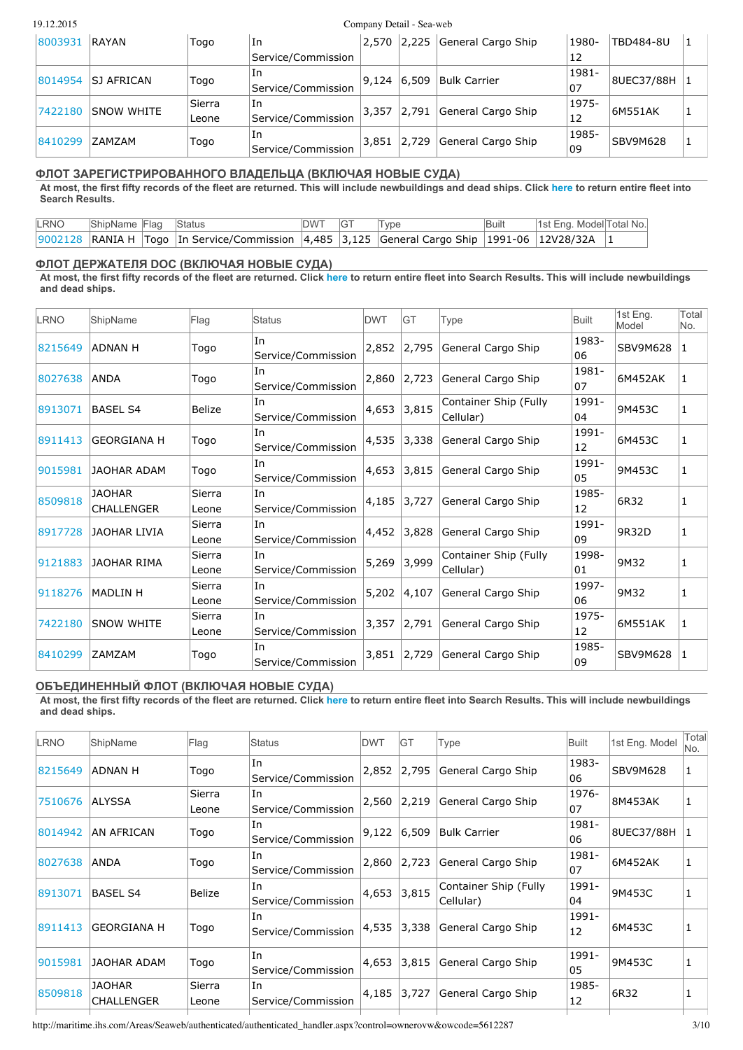#### 19.12.2015 Company Detail - Sea-web

| 8003931 | RAYAN             | Togo        | In                 | 2,570 | 2.225 | General Cargo Ship  | 1980- | TBD484-8U  |  |
|---------|-------------------|-------------|--------------------|-------|-------|---------------------|-------|------------|--|
|         |                   |             | Service/Commission |       |       |                     | 12    |            |  |
|         | ISJ AFRICAN       |             | lIn                | 9.124 | 6.509 | <b>Bulk Carrier</b> | 1981- |            |  |
| 8014954 |                   | Togo        | Service/Commission |       |       |                     | 07    | 8UEC37/88H |  |
|         | <b>SNOW WHITE</b> | Sierra      | In                 |       | 2,791 | General Cargo Ship  | 1975- | 6M551AK    |  |
| 7422180 |                   | Leone       | Service/Commission | 3,357 |       |                     | 12    |            |  |
| 8410299 |                   | lIn<br>Togo |                    |       | 2.729 | General Cargo Ship  | 1985- |            |  |
|         | ZAMZAM            |             | Service/Commission | 3,851 |       |                     | 09    | SBV9M628   |  |

### **ФЛОТ ЗАРЕГИСТРИРОВАННОГО ВЛАДЕЛЬЦА (ВКЛЮЧАЯ НОВЫЕ СУДА)**

At most, the first fifty records of the fleet are returned. This will include newbuildings and dead ships. Click [here](http://maritime.ihs.com/Areas/Seaweb/authenticated/authenticated_handler.aspx?control=list&SearchString=(OWNERCODE+=+%275612287%27)&FieldList=&JoinExpressionAll=+&SpecialIndicator=&ListType=Ships&Size=20&bp=1) to return entire fleet into **Search Results.**

| LRNO | ShipName Flag Status |                                                                                                             | DWT GT | Type | <b>Built</b> | 1st Eng. Model Total No. |  |
|------|----------------------|-------------------------------------------------------------------------------------------------------------|--------|------|--------------|--------------------------|--|
|      |                      | 9002128   RANIA H   Togo   In Service/Commission   4,485   3,125   General Cargo Ship   1991-06   12V28/32A |        |      |              |                          |  |

## **ФЛОТ ДЕРЖАТЕЛЯ DOC (ВКЛЮЧАЯ НОВЫЕ СУДА)**

At most, the first fifty records of the fleet are returned. Click [here](http://maritime.ihs.com/Areas/Seaweb/authenticated/authenticated_handler.aspx?control=list&SearchString=(DOCCODE+=+%275612287%27)&FieldList=&JoinExpressionAll=+&SpecialIndicator=&ListType=Ships&Size=20&bp=1) to return entire fleet into Search Results. This will include newbuildings **and dead ships.**

| LRNO    | ShipName                           | Flag            | <b>Status</b>             | <b>DWT</b> | IGT   | Type                               | Built       | 1st Eng.<br>Model | Total<br>INo. |
|---------|------------------------------------|-----------------|---------------------------|------------|-------|------------------------------------|-------------|-------------------|---------------|
| 8215649 | <b>ADNAN H</b>                     | Togo            | In<br>Service/Commission  | 2,852      | 2,795 | General Cargo Ship                 | 1983-<br>06 | <b>SBV9M628</b>   | 1             |
| 8027638 | <b>ANDA</b>                        | Togo            | In<br>Service/Commission  | 2,860      | 2,723 | General Cargo Ship                 | 1981-<br>07 | 6M452AK           | 1             |
| 8913071 | <b>BASEL S4</b>                    | <b>Belize</b>   | In<br>Service/Commission  | 4,653      | 3,815 | Container Ship (Fully<br>Cellular) | 1991-<br>04 | 9M453C            | 1             |
| 8911413 | <b>GEORGIANA H</b>                 | Togo            | In<br>Service/Commission  | 4,535      | 3,338 | General Cargo Ship                 | 1991-<br>12 | 6M453C            | 1             |
| 9015981 | <b>JAOHAR ADAM</b>                 | Togo            | In<br>Service/Commission  | 4,653      | 3,815 | General Cargo Ship                 | 1991-<br>05 | 9M453C            | 1             |
| 8509818 | <b>JAOHAR</b><br><b>CHALLENGER</b> | Sierra<br>Leone | In<br>Service/Commission  | 4,185      | 3,727 | General Cargo Ship                 | 1985-<br>12 | 6R32              | 1             |
| 8917728 | <b>JAOHAR LIVIA</b>                | Sierra<br>Leone | In<br>Service/Commission  | 4,452      | 3,828 | General Cargo Ship                 | 1991-<br>09 | 9R32D             | 1             |
| 9121883 | JAOHAR RIMA                        | Sierra<br>Leone | In<br>Service/Commission  | 5,269      | 3,999 | Container Ship (Fully<br>Cellular) | 1998-<br>01 | 9M32              | 1             |
| 9118276 | <b>MADLIN H</b>                    | Sierra<br>Leone | In<br>Service/Commission  | 5,202      | 4,107 | General Cargo Ship                 | 1997-<br>06 | 9M32              | 1             |
| 7422180 | <b>SNOW WHITE</b>                  | Sierra<br>Leone | In.<br>Service/Commission | 3,357      | 2,791 | General Cargo Ship                 | 1975-<br>12 | 6M551AK           | 1             |
| 8410299 | <b>ZAMZAM</b>                      | Togo            | In.<br>Service/Commission | 3,851      | 2,729 | General Cargo Ship                 | 1985-<br>09 | SBV9M628          | 1             |

#### **ОБЪЕДИНЕННЫЙ ФЛОТ (ВКЛЮЧАЯ НОВЫЕ СУДА)**

At most, the first fifty records of the fleet are returned. Click [here](http://maritime.ihs.com/Areas/Seaweb/authenticated/authenticated_handler.aspx?control=list&SearchString=(GBOCODE+=+%275612287%27+OR+DOCcode+=+%275612287%27+OR+OPERATORCODE+=+%275612287%27+OR+SHIPMANAGERCODE+=+%275612287%27+OR+OWNERCODE+=+%275612287%27)&FieldList=&JoinExpressionAll=+&SpecialIndicator=&ListType=Ships&Size=20&bp=1) to return entire fleet into Search Results. This will include newbuildings **and dead ships.**

| LRNO    | ShipName                           | Flag            | Status                    | <b>DWT</b> | IGT   | Type                               | Built       | 1st Eng. Model | Total<br>No. |
|---------|------------------------------------|-----------------|---------------------------|------------|-------|------------------------------------|-------------|----------------|--------------|
| 8215649 | <b>ADNAN H</b>                     | Togo            | lIn<br>Service/Commission | 2,852      | 2,795 | General Cargo Ship                 | 1983-<br>06 | SBV9M628       |              |
| 7510676 | <b>ALYSSA</b>                      | Sierra<br>Leone | lIn<br>Service/Commission | 2,560      | 2,219 | General Cargo Ship                 | 1976-<br>07 | 8M453AK        | 1            |
| 8014942 | <b>AN AFRICAN</b>                  | Togo            | In<br>Service/Commission  | 9,122      | 6,509 | <b>Bulk Carrier</b>                | 1981-<br>06 | 8UEC37/88H     |              |
| 8027638 | <b>ANDA</b>                        | Togo            | In<br>Service/Commission  | 2,860      | 2,723 | General Cargo Ship                 | 1981-<br>07 | 6M452AK        | 1            |
| 8913071 | <b>BASEL S4</b>                    | Belize          | In<br>Service/Commission  | 4,653      | 3,815 | Container Ship (Fully<br>Cellular) | 1991-<br>04 | 9M453C         | 1            |
| 8911413 | <b>GEORGIANA H</b>                 | Togo            | In<br>Service/Commission  | 4,535      | 3,338 | General Cargo Ship                 | 1991-<br>12 | 6M453C         | 1            |
| 9015981 | JAOHAR ADAM                        | Togo            | In<br>Service/Commission  | 4,653      | 3,815 | General Cargo Ship                 | 1991-<br>05 | 9M453C         | 1            |
| 8509818 | <b>JAOHAR</b><br><b>CHALLENGER</b> | Sierra<br>Leone | In<br>Service/Commission  | 4,185      | 3,727 | General Cargo Ship                 | 1985-<br>12 | 6R32           |              |
|         |                                    |                 |                           |            |       |                                    |             |                |              |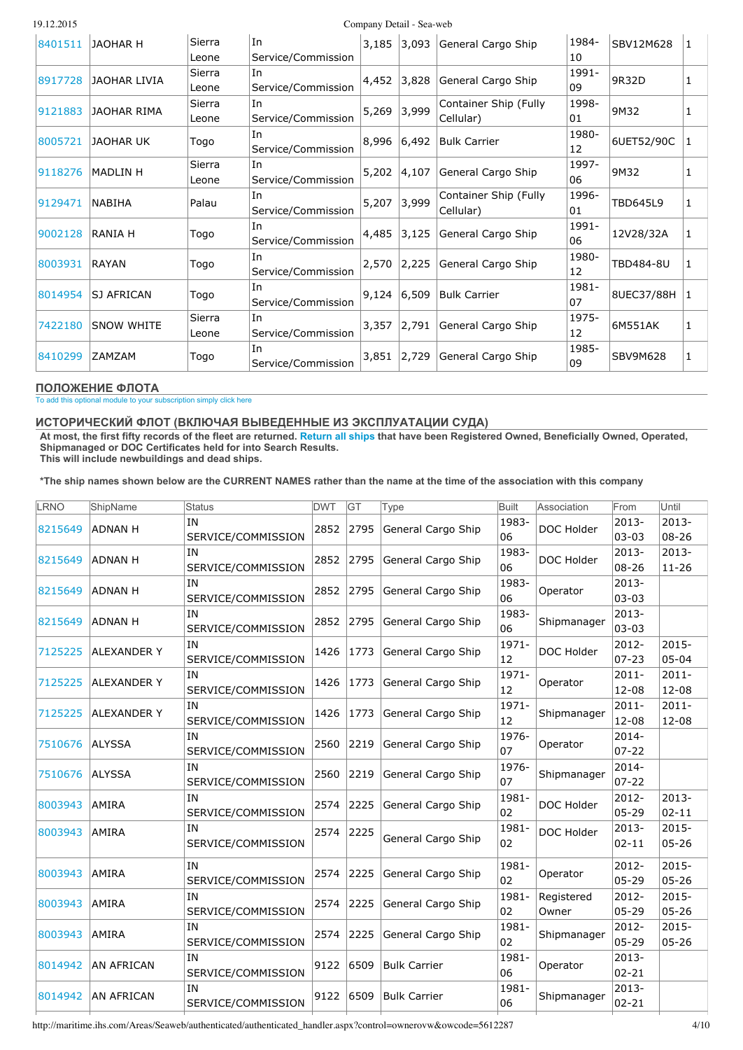|  | 19.12.2015 |  |
|--|------------|--|
|  |            |  |

Company Detail - Sea-web

| 8401511 | JAOHAR H          | Sierra<br>Leone | In<br>Service/Commission |               |       | 3,185 3,093 General Cargo Ship     | 1984-<br>10 | SBV12M628  | 1 |
|---------|-------------------|-----------------|--------------------------|---------------|-------|------------------------------------|-------------|------------|---|
| 8917728 | JAOHAR LIVIA      | Sierra<br>Leone | In<br>Service/Commission | 4,452         | 3,828 | General Cargo Ship                 | 1991-<br>09 | 9R32D      | 1 |
| 9121883 | JAOHAR RIMA       | Sierra<br>Leone | In<br>Service/Commission | 5,269         | 3,999 | Container Ship (Fully<br>Cellular) | 1998-<br>01 | 9M32       |   |
| 8005721 | IJAOHAR UK        | Togo            | In<br>Service/Commission | 8,996         | 6,492 | <b>Bulk Carrier</b>                | 1980-<br>12 | 6UET52/90C | 1 |
| 9118276 | MADLIN H          | Sierra<br>Leone | In<br>Service/Commission | 5,202         | 4,107 | General Cargo Ship                 | 1997-<br>06 | 9M32       |   |
| 9129471 | <b>NABIHA</b>     | Palau           | In<br>Service/Commission | 5,207         | 3,999 | Container Ship (Fully<br>Cellular) | 1996-<br>01 | TBD645L9   | 1 |
| 9002128 | <b>RANIA H</b>    | Togo            | In<br>Service/Commission | 4,485         | 3,125 | General Cargo Ship                 | 1991-<br>06 | 12V28/32A  | 1 |
| 8003931 | RAYAN             | Togo            | In<br>Service/Commission | 2,570         | 2,225 | General Cargo Ship                 | 1980-<br>12 | TBD484-8U  |   |
| 8014954 | SJ AFRICAN        | Togo            | In<br>Service/Commission | $9,124$ 6,509 |       | <b>Bulk Carrier</b>                | 1981-<br>07 | 8UEC37/88H |   |
| 7422180 | <b>SNOW WHITE</b> | Sierra<br>Leone | In<br>Service/Commission | 3,357         | 2,791 | General Cargo Ship                 | 1975-<br>12 | 6M551AK    | 1 |
| 8410299 | <b>ZAMZAM</b>     | Togo            | In<br>Service/Commission | 3,851         | 2,729 | General Cargo Ship                 | 1985-<br>09 | SBV9M628   | 1 |

#### **ПОЛОЖЕНИЕ ФЛОТА**

To add this optional module to your [subscription](http://www.ihs.com/products/maritime-information/ships/sea-web.aspx) simply click here

### **ИСТОРИЧЕСКИЙ ФЛОТ (ВКЛЮЧАЯ ВЫВЕДЕННЫЕ ИЗ ЭКСПЛУАТАЦИИ СУДА)**

At most, the first fifty records of the fleet are returned. [Return](http://maritime.ihs.com/Areas/Seaweb/authenticated/authenticated_handler.aspx?control=list&SearchString=(hist.historical_owner+=+%275612287%27)&FieldList=VESSELNAMEBROWSE,Status,DWT,GT,Shiptype,Relationship,FromDate,ToDate&JoinExpressionAll=INNER%20JOIN%20vwownerhistory%20hist%20on%20ss.lrno=hist.histlrno+&SpecialIndicator=&ListType=Ships&Size=&bp=1) all ships that have been Registered Owned, Beneficially Owned, Operated, **Shipmanaged or DOC Certificates held for into Search Results. This will include newbuildings and dead ships.**

\*The ship names shown below are the CURRENT NAMES rather than the name at the time of the association with this company

| LRNO    | ShipName           | Status                   | <b>DWT</b> | GT   | <b>Type</b>         | <b>Built</b> | Association         | From                  | Until                 |
|---------|--------------------|--------------------------|------------|------|---------------------|--------------|---------------------|-----------------------|-----------------------|
| 8215649 | <b>ADNAN H</b>     | IN<br>SERVICE/COMMISSION | 2852       | 2795 | General Cargo Ship  | 1983-<br>06  | DOC Holder          | $2013 -$<br>$03 - 03$ | 2013-<br>$08 - 26$    |
| 8215649 | <b>ADNAN H</b>     | IN<br>SERVICE/COMMISSION | 2852       | 2795 | General Cargo Ship  | 1983-<br>06  | DOC Holder          | 2013-<br>$08 - 26$    | $2013 -$<br>$11 - 26$ |
| 8215649 | ADNAN H            | IN<br>SERVICE/COMMISSION | 2852       | 2795 | General Cargo Ship  | 1983-<br>06  | Operator            | $2013 -$<br>$03 - 03$ |                       |
| 8215649 | <b>ADNAN H</b>     | IN<br>SERVICE/COMMISSION | 2852       | 2795 | General Cargo Ship  | 1983-<br>06  | Shipmanager         | $2013 -$<br>$03 - 03$ |                       |
| 7125225 | <b>ALEXANDER Y</b> | IN<br>SERVICE/COMMISSION | 1426       | 1773 | General Cargo Ship  | 1971-<br>12  | DOC Holder          | $2012 -$<br>$07 - 23$ | $2015 -$<br>$05 - 04$ |
| 7125225 | <b>ALEXANDER Y</b> | IN<br>SERVICE/COMMISSION | 1426       | 1773 | General Cargo Ship  | 1971-<br>12  | Operator            | $2011 -$<br>$12 - 08$ | $2011 -$<br>12-08     |
| 7125225 | <b>ALEXANDER Y</b> | ΙN<br>SERVICE/COMMISSION | 1426       | 1773 | General Cargo Ship  | 1971-<br>12  | Shipmanager         | $2011 -$<br>$12 - 08$ | $2011 -$<br>12-08     |
| 7510676 | <b>ALYSSA</b>      | IN<br>SERVICE/COMMISSION | 2560       | 2219 | General Cargo Ship  | 1976-<br>07  | Operator            | 2014-<br>$07 - 22$    |                       |
| 7510676 | ALYSSA             | IN<br>SERVICE/COMMISSION | 2560       | 2219 | General Cargo Ship  | 1976-<br>07  | Shipmanager         | 2014-<br>$07 - 22$    |                       |
| 8003943 | AMIRA              | IN<br>SERVICE/COMMISSION | 2574       | 2225 | General Cargo Ship  | 1981-<br>02  | DOC Holder          | $2012 -$<br>$05 - 29$ | $2013 -$<br>$02 - 11$ |
| 8003943 | <b>AMIRA</b>       | IN<br>SERVICE/COMMISSION | 2574       | 2225 | General Cargo Ship  | 1981-<br>02  | DOC Holder          | $2013 -$<br>$02 - 11$ | 2015-<br>$05 - 26$    |
| 8003943 | AMIRA              | IN<br>SERVICE/COMMISSION | 2574       | 2225 | General Cargo Ship  | 1981-<br>02  | Operator            | $2012 -$<br>$05 - 29$ | $2015 -$<br>$05 - 26$ |
| 8003943 | AMIRA              | IN<br>SERVICE/COMMISSION | 2574       | 2225 | General Cargo Ship  | 1981-<br>02  | Registered<br>Owner | 2012-<br>$05 - 29$    | $2015 -$<br>$05 - 26$ |
| 8003943 | AMIRA              | IN<br>SERVICE/COMMISSION | 2574       | 2225 | General Cargo Ship  | 1981-<br>02  | Shipmanager         | 2012-<br>$05 - 29$    | $2015 -$<br>$05 - 26$ |
| 8014942 | <b>AN AFRICAN</b>  | IN<br>SERVICE/COMMISSION | 9122       | 6509 | <b>Bulk Carrier</b> | 1981-<br>06  | Operator            | $2013 -$<br>$02 - 21$ |                       |
| 8014942 | <b>AN AFRICAN</b>  | IN<br>SERVICE/COMMISSION | 9122       | 6509 | <b>Bulk Carrier</b> | 1981-<br>06  | Shipmanager         | 2013-<br>$02 - 21$    |                       |
|         |                    |                          |            |      |                     |              |                     |                       |                       |

http://maritime.ihs.com/Areas/Seaweb/authenticated/authenticated\_handler.aspx?control=ownerovw&owcode=5612287 4/10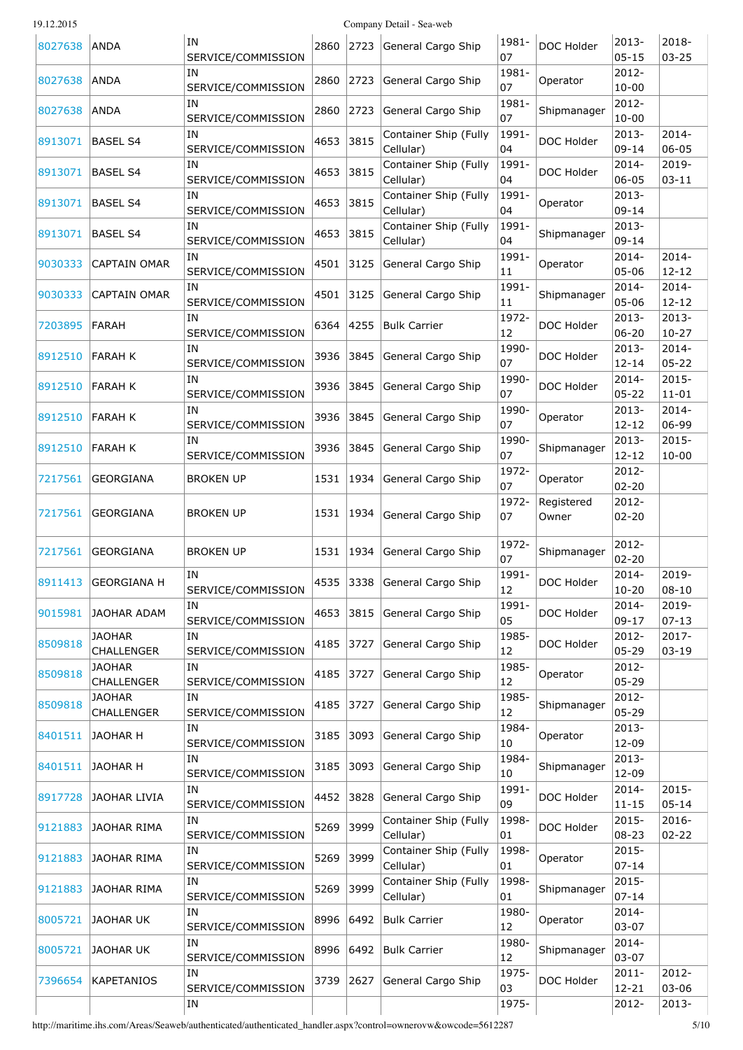| 19. | 12.201 |  |
|-----|--------|--|
|     |        |  |

Company Detail - Sea-web

| 8027638 | ANDA                        | ΙN<br>SERVICE/COMMISSION        |      |           | 2860 2723 General Cargo Ship       | 1981-<br>07 | DOC Holder  | 2013-<br>$05 - 15$    | 2018-<br>$03 - 25$    |
|---------|-----------------------------|---------------------------------|------|-----------|------------------------------------|-------------|-------------|-----------------------|-----------------------|
| 8027638 | ANDA                        | IN<br>SERVICE/COMMISSION        |      | 2860 2723 | General Cargo Ship                 | 1981-<br>07 | Operator    | 2012-<br>$10 - 00$    |                       |
| 8027638 | ANDA                        | IN<br>SERVICE/COMMISSION        | 2860 | 2723      | General Cargo Ship                 | 1981-<br>07 | Shipmanager | 2012-<br>$10 - 00$    |                       |
| 8913071 | <b>BASEL S4</b>             | IN<br>SERVICE/COMMISSION        | 4653 | 3815      | Container Ship (Fully<br>Cellular) | 1991-<br>04 | DOC Holder  | 2013-<br>$09 - 14$    | $2014 -$<br>$06 - 05$ |
| 8913071 | <b>BASEL S4</b>             | IN<br>SERVICE/COMMISSION        | 4653 | 3815      | Container Ship (Fully<br>Cellular) | 1991-<br>04 | DOC Holder  | 2014-<br>$06 - 05$    | 2019-                 |
|         |                             | ΙN                              |      |           | Container Ship (Fully              | 1991-       |             | 2013-                 | $03 - 11$             |
| 8913071 | BASEL S4                    | SERVICE/COMMISSION              | 4653 | 3815      | Cellular)                          | 04          | Operator    | $09 - 14$             |                       |
| 8913071 | <b>BASEL S4</b>             | IN<br>SERVICE/COMMISSION        | 4653 | 3815      | Container Ship (Fully<br>Cellular) | 1991-<br>04 | Shipmanager | $2013 -$<br>$09 - 14$ |                       |
| 9030333 | <b>CAPTAIN OMAR</b>         | IN<br>SERVICE/COMMISSION        |      | 4501 3125 | General Cargo Ship                 | 1991-<br>11 | Operator    | 2014-<br>$05 - 06$    | 2014-<br>$12 - 12$    |
| 9030333 | CAPTAIN OMAR                | <b>IN</b><br>SERVICE/COMMISSION |      | 4501 3125 | General Cargo Ship                 | 1991-<br>11 | Shipmanager | 2014-<br>$05 - 06$    | $2014 -$<br>$12 - 12$ |
| 7203895 | FARAH                       | IN                              |      | 6364 4255 | <b>Bulk Carrier</b>                | 1972-       | DOC Holder  | 2013-                 | 2013-                 |
|         |                             | SERVICE/COMMISSION              |      |           |                                    | 12          |             | $06 - 20$             | $10 - 27$             |
| 8912510 | <b>FARAH K</b>              | ΙN<br>SERVICE/COMMISSION        |      |           | 3936 3845 General Cargo Ship       | 1990-<br>07 | DOC Holder  | 2013-<br>$12 - 14$    | $2014 -$<br>$05 - 22$ |
|         |                             | ΙN                              |      |           |                                    | 1990-       |             | 2014-                 | 2015-                 |
| 8912510 | FARAH K                     | SERVICE/COMMISSION              |      |           | 3936 3845 General Cargo Ship       | 07          | DOC Holder  | $05 - 22$             | $11 - 01$             |
| 8912510 | <b>FARAH K</b>              | IN<br>SERVICE/COMMISSION        |      | 3936 3845 | General Cargo Ship                 | 1990-<br>07 | Operator    | 2013-<br>$12 - 12$    | 2014-<br>06-99        |
| 8912510 | FARAH K                     | ΙN                              |      |           | 3936 3845 General Cargo Ship       | 1990-       | Shipmanager | 2013-                 | 2015-                 |
|         |                             | SERVICE/COMMISSION              |      |           |                                    | 07          |             | $12 - 12$             | $10 - 00$             |
| 7217561 | GEORGIANA                   | <b>BROKEN UP</b>                |      |           | 1531   1934   General Cargo Ship   | 1972-<br>07 | Operator    | 2012-<br>$02 - 20$    |                       |
|         |                             |                                 |      |           |                                    | 1972-       | Registered  | 2012-                 |                       |
| 7217561 | GEORGIANA                   | <b>BROKEN UP</b>                |      | 1531 1934 | General Cargo Ship                 | 07          | Owner       | $02 - 20$             |                       |
| 7217561 | <b>GEORGIANA</b>            | <b>BROKEN UP</b>                |      |           | 1531   1934   General Cargo Ship   | 1972-<br>07 | Shipmanager | 2012-<br>$02 - 20$    |                       |
|         |                             | IN                              |      |           |                                    | 1991-       |             | 2014-                 | 2019-                 |
| 8911413 | GEORGIANA H                 | SERVICE/COMMISSION              |      |           | 4535 3338 General Cargo Ship       | 12          | DOC Holder  | 10-20                 | 08-10                 |
| 9015981 | <b>JAOHAR ADAM</b>          | ΙN<br>SERVICE/COMMISSION        | 4653 | 3815      | General Cargo Ship                 | 1991-<br>05 | DOC Holder  | 2014-<br>$09 - 17$    | 2019-<br>$07 - 13$    |
|         | <b>JAOHAR</b>               | IN                              |      |           |                                    | 1985-       |             | 2012-                 | 2017-                 |
| 8509818 | CHALLENGER                  | SERVICE/COMMISSION              | 4185 | 3727      | General Cargo Ship                 | 12          | DOC Holder  | $05 - 29$             | $03 - 19$             |
| 8509818 | <b>JAOHAR</b>               | IN                              | 4185 | 3727      | General Cargo Ship                 | 1985-       | Operator    | 2012-                 |                       |
|         | CHALLENGER                  | SERVICE/COMMISSION              |      |           |                                    | 12          |             | $05 - 29$             |                       |
| 8509818 | <b>JAOHAR</b><br>CHALLENGER | IN<br>SERVICE/COMMISSION        | 4185 | 3727      | General Cargo Ship                 | 1985-<br>12 | Shipmanager | 2012-<br>$05 - 29$    |                       |
|         |                             | IN                              |      |           |                                    | 1984-       |             | 2013-                 |                       |
| 8401511 | <b>JAOHAR H</b>             | SERVICE/COMMISSION              | 3185 | 3093      | General Cargo Ship                 | 10          | Operator    | 12-09                 |                       |
| 8401511 | <b>JAOHAR H</b>             | IN<br>SERVICE/COMMISSION        | 3185 | 3093      | General Cargo Ship                 | 1984-<br>10 | Shipmanager | 2013-<br>12-09        |                       |
| 8917728 | JAOHAR LIVIA                | IN                              | 4452 | 3828      | General Cargo Ship                 | 1991-       | DOC Holder  | $2014 -$              | $2015 -$              |
|         |                             | SERVICE/COMMISSION              |      |           |                                    | 09          |             | $11 - 15$             | $05 - 14$             |
| 9121883 | <b>JAOHAR RIMA</b>          | IN<br>SERVICE/COMMISSION        | 5269 | 3999      | Container Ship (Fully<br>Cellular) | 1998-<br>01 | DOC Holder  | 2015-<br>$08 - 23$    | 2016-<br>$02 - 22$    |
| 9121883 | <b>JAOHAR RIMA</b>          | ΙN<br>SERVICE/COMMISSION        | 5269 | 3999      | Container Ship (Fully<br>Cellular) | 1998-<br>01 | Operator    | 2015-<br>$07 - 14$    |                       |
| 9121883 | <b>JAOHAR RIMA</b>          | IN<br>SERVICE/COMMISSION        | 5269 | 3999      | Container Ship (Fully<br>Cellular) | 1998-<br>01 | Shipmanager | 2015-<br>$07 - 14$    |                       |
| 8005721 | <b>JAOHAR UK</b>            | ΙN<br>SERVICE/COMMISSION        | 8996 | 6492      | <b>Bulk Carrier</b>                | 1980-<br>12 | Operator    | 2014-<br>$03 - 07$    |                       |
|         |                             | ΙN                              |      |           |                                    | 1980-       |             | 2014-                 |                       |
| 8005721 | JAOHAR UK                   | SERVICE/COMMISSION              | 8996 | 6492      | <b>Bulk Carrier</b>                | 12          | Shipmanager | $03 - 07$             |                       |
| 7396654 | <b>KAPETANIOS</b>           | ΙN<br>SERVICE/COMMISSION        | 3739 | 2627      | General Cargo Ship                 | 1975-<br>03 | DOC Holder  | $2011 -$<br>$12 - 21$ | 2012-<br>$03 - 06$    |
|         |                             | IN                              |      |           |                                    | 1975-       |             | 2012-                 | 2013-                 |
|         |                             |                                 |      |           |                                    |             |             |                       |                       |

http://maritime.ihs.com/Areas/Seaweb/authenticated/authenticated\_handler.aspx?control=ownerovw&owcode=5612287 5/10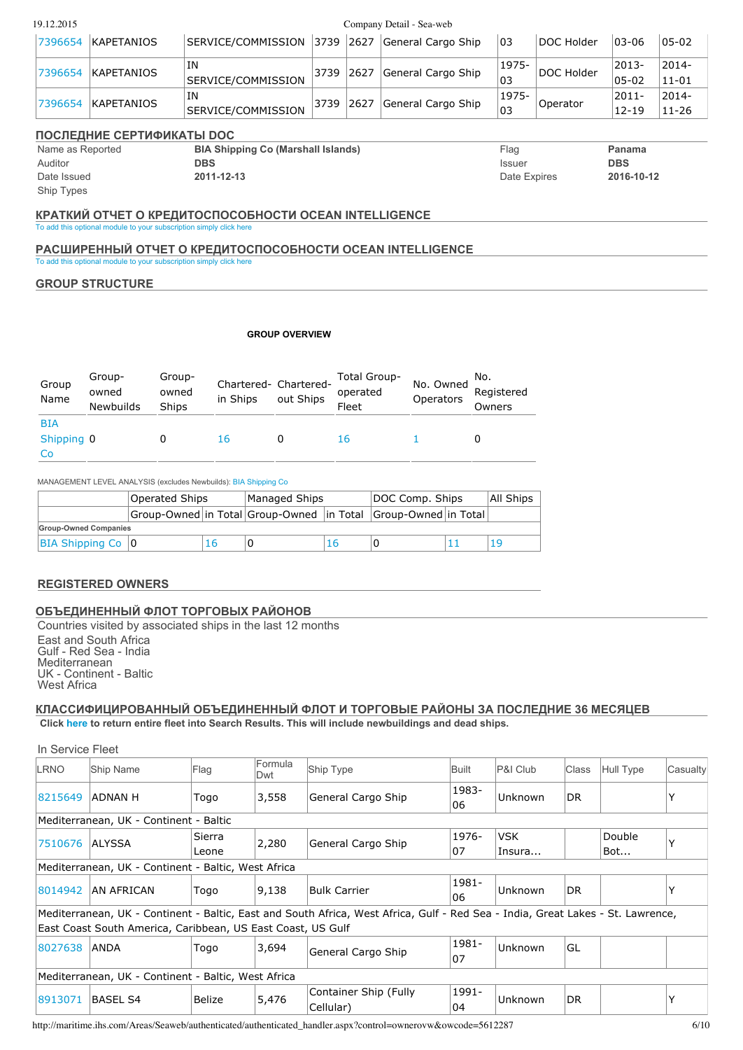| 19.12.2015                   |                                     |                           |                                                                    |                                                           |      |                          | Company Detail - Sea-web |                        |                       |            |                       |                       |
|------------------------------|-------------------------------------|---------------------------|--------------------------------------------------------------------|-----------------------------------------------------------|------|--------------------------|--------------------------|------------------------|-----------------------|------------|-----------------------|-----------------------|
| 7396654                      | <b>KAPETANIOS</b>                   |                           |                                                                    | SERVICE/COMMISSION                                        | 3739 | 2627                     | General Cargo Ship       |                        | 03                    | DOC Holder | 03-06                 | $05 - 02$             |
| 7396654                      | <b>KAPETANIOS</b>                   |                           | IN                                                                 | SERVICE/COMMISSION                                        | 3739 | 2627                     | General Cargo Ship       |                        | 1975-<br>03           | DOC Holder | 2013-<br>$05 - 02$    | $2014 -$<br>$11 - 01$ |
| 7396654                      | KAPETANIOS                          |                           | IN                                                                 | SERVICE/COMMISSION                                        | 3739 | 2627                     | General Cargo Ship       |                        | 1975-<br>03           | Operator   | $2011 -$<br>$12 - 19$ | $2014 -$<br>$11 - 26$ |
|                              |                                     | ПОСЛЕДНИЕ СЕРТИФИКАТЫ DOC |                                                                    |                                                           |      |                          |                          |                        |                       |            |                       |                       |
| Name as Reported<br>Auditor  |                                     |                           | <b>DBS</b>                                                         | <b>BIA Shipping Co (Marshall Islands)</b>                 |      |                          |                          |                        | Flag<br><b>Issuer</b> |            | Panama<br><b>DBS</b>  |                       |
| Date Issued                  |                                     |                           | 2011-12-13                                                         |                                                           |      |                          |                          |                        | Date Expires          |            | 2016-10-12            |                       |
| Ship Types                   |                                     |                           |                                                                    |                                                           |      |                          |                          |                        |                       |            |                       |                       |
|                              |                                     |                           |                                                                    | КРАТКИЙ ОТЧЕТ О КРЕДИТОСПОСОБНОСТИ ОСЕАН INTELLIGENCE     |      |                          |                          |                        |                       |            |                       |                       |
|                              |                                     |                           | To add this optional module to your subscription simply click here |                                                           |      |                          |                          |                        |                       |            |                       |                       |
|                              |                                     |                           | To add this optional module to your subscription simply click here | РАСШИРЕННЫЙ ОТЧЕТ О КРЕДИТОСПОСОБНОСТИ ОСЕАN INTELLIGENCE |      |                          |                          |                        |                       |            |                       |                       |
|                              |                                     |                           |                                                                    |                                                           |      |                          |                          |                        |                       |            |                       |                       |
| <b>GROUP STRUCTURE</b>       |                                     |                           |                                                                    |                                                           |      |                          |                          |                        |                       |            |                       |                       |
|                              |                                     |                           |                                                                    |                                                           |      |                          |                          |                        |                       |            |                       |                       |
|                              |                                     |                           |                                                                    | <b>GROUP OVERVIEW</b>                                     |      |                          |                          |                        |                       |            |                       |                       |
| Group<br>Name                | Group-<br>owned<br><b>Newbuilds</b> | Group-<br>owned<br>Ships  | in Ships                                                           | Chartered- Chartered-<br>out Ships                        |      | Total Group-<br>operated |                          | No. Owned<br>Operators | No.<br>Registered     |            |                       |                       |
|                              |                                     |                           |                                                                    |                                                           |      | Fleet                    |                          |                        | Owners                |            |                       |                       |
| <b>BIA</b>                   |                                     |                           |                                                                    |                                                           |      |                          |                          |                        |                       |            |                       |                       |
| Shipping 0<br>Co             |                                     | 0                         | 16                                                                 | 0                                                         |      | 16                       | $\mathbf{1}$             |                        | 0                     |            |                       |                       |
|                              |                                     |                           |                                                                    |                                                           |      |                          |                          |                        |                       |            |                       |                       |
|                              |                                     | <b>Operated Ships</b>     | MANAGEMENT LEVEL ANALYSIS (excludes Newbuilds): BIA Shipping Co    | Managed Ships                                             |      |                          | DOC Comp. Ships          |                        | All Ships             |            |                       |                       |
|                              |                                     |                           |                                                                    | Group-Owned in Total Group-Owned in Total                 |      |                          | Group-Owned in Total     |                        |                       |            |                       |                       |
| <b>Group-Owned Companies</b> |                                     |                           |                                                                    |                                                           |      |                          |                          |                        |                       |            |                       |                       |
| BIA Shipping Co   0          |                                     |                           | 16                                                                 | 0                                                         | 16   | 0                        |                          | 11                     | 19                    |            |                       |                       |
|                              |                                     |                           |                                                                    |                                                           |      |                          |                          |                        |                       |            |                       |                       |

**ОБЪЕДИНЕННЫЙ ФЛОТ ТОРГОВЫХ РАЙОНОВ** Countries visited by associated ships in the last 12 months East and South Africa Gulf - Red Sea - India **Mediterranean** UK - Continent - Baltic West Africa

**КЛАССИФИЦИРОВАННЫЙ ОБЪЕДИНЕННЫЙ ФЛОТ И ТОРГОВЫЕ РАЙОНЫ ЗА ПОСЛЕДНИЕ 36 МЕСЯЦЕВ Click [here](http://maritime.ihs.com/Areas/Seaweb/authenticated/authenticated_handler.aspx?control=list&SearchString=(GBOCODE+=+%275612287%27+OR+DOCcode+=+%275612287%27+OR+OPERATORCODE+=+%275612287%27+OR+SHIPMANAGERCODE+=+%275612287%27+OR+OWNERCODE+=+%275612287%27)&FieldList=&JoinExpressionAll=+&SpecialIndicator=&ListType=Ships&Size=20&bp=1) to return entire fleet into Search Results. This will include newbuildings and dead ships.**

In Service Fleet LRNO Ship Name Flag Formula<br>Dwt **Dutify** Ship Type **Built** P&I Club Class Hull Type Casualty [8215649](http://maritime.ihs.com/Areas/Seaweb/authenticated/authenticated_handler.aspx?control=shipovw&LRNO=8215649) ADNAN H 7ogo 3,558 General Cargo Ship 1983 06 Unknown DR | Y Mediterranean, UK - Continent - Baltic [7510676](http://maritime.ihs.com/Areas/Seaweb/authenticated/authenticated_handler.aspx?control=shipovw&LRNO=7510676) ALYSSA Sierra Leone 2,280 General Cargo Ship 1976 07 VSK Insura... Double Bot... Y Mediterranean, UK - Continent - Baltic, West Africa [8014942](http://maritime.ihs.com/Areas/Seaweb/authenticated/authenticated_handler.aspx?control=shipovw&LRNO=8014942) AN AFRICAN Togo 9,138 Bulk Carrier 1981 06 Unknown DR Y Mediterranean, UK - Continent - Baltic, East and South Africa, West Africa, Gulf - Red Sea - India, Great Lakes - St. Lawrence, East Coast South America, Caribbean, US East Coast, US Gulf [8027638](http://maritime.ihs.com/Areas/Seaweb/authenticated/authenticated_handler.aspx?control=shipovw&LRNO=8027638) ANDA Togo 3,694 General Cargo Ship 1981 07 Unknown GL Mediterranean, UK - Continent - Baltic, West Africa [8913071](http://maritime.ihs.com/Areas/Seaweb/authenticated/authenticated_handler.aspx?control=shipovw&LRNO=8913071) BASEL S4 Belize 5,476 Container Ship (Fully Cellular) 1991  $|04$ Unknown DR | Y

http://maritime.ihs.com/Areas/Seaweb/authenticated/authenticated\_handler.aspx?control=ownerovw&owcode=5612287 6/10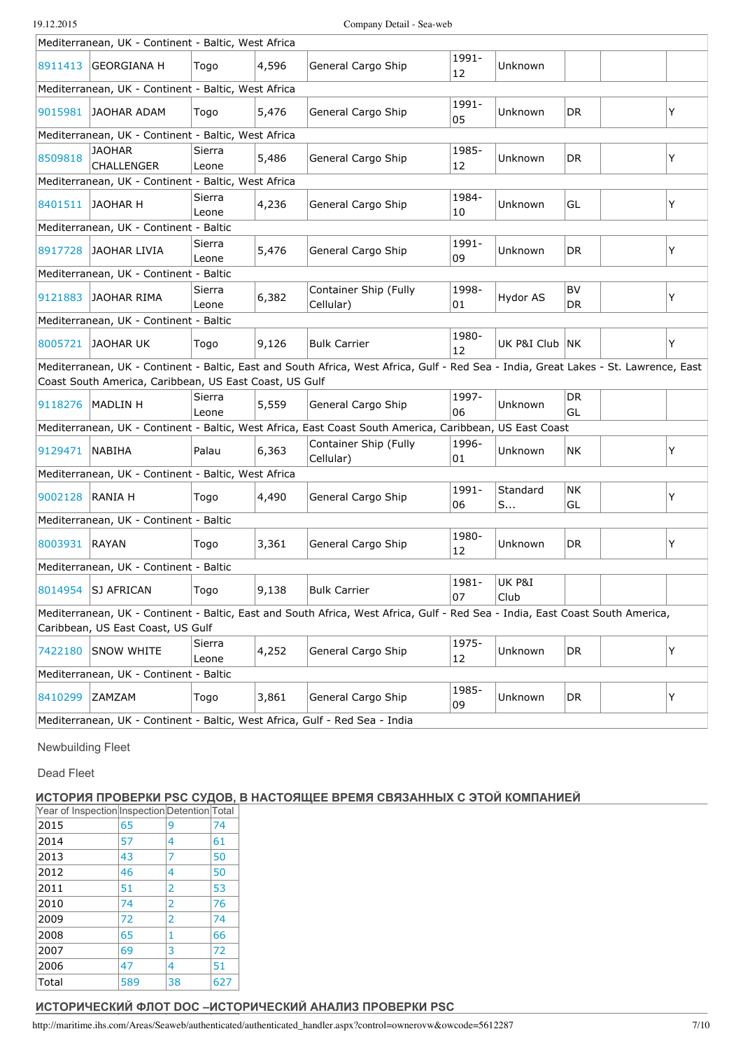|                 | Mediterranean, UK - Continent - Baltic, West Africa    |                 |       |                                                                                                                                      |             |                  |                  |   |
|-----------------|--------------------------------------------------------|-----------------|-------|--------------------------------------------------------------------------------------------------------------------------------------|-------------|------------------|------------------|---|
|                 | 8911413 GEORGIANA H                                    | Togo            | 4,596 | General Cargo Ship                                                                                                                   | 1991-<br>12 | Unknown          |                  |   |
|                 | Mediterranean, UK - Continent - Baltic, West Africa    |                 |       |                                                                                                                                      |             |                  |                  |   |
|                 | 9015981 JAOHAR ADAM                                    | Togo            | 5,476 | General Cargo Ship                                                                                                                   | 1991-<br>05 | Unknown          | DR               | Y |
|                 | Mediterranean, UK - Continent - Baltic, West Africa    |                 |       |                                                                                                                                      |             |                  |                  |   |
| 8509818         | <b>JAOHAR</b><br><b>CHALLENGER</b>                     | Sierra<br>Leone | 5,486 | General Cargo Ship                                                                                                                   | 1985-<br>12 | Unknown          | DR               | Y |
|                 | Mediterranean, UK - Continent - Baltic, West Africa    |                 |       |                                                                                                                                      |             |                  |                  |   |
|                 | 8401511 JAOHAR H                                       | Sierra<br>Leone | 4,236 | General Cargo Ship                                                                                                                   | 1984-<br>10 | Unknown          | GL               | Y |
|                 | Mediterranean, UK - Continent - Baltic                 |                 |       |                                                                                                                                      |             |                  |                  |   |
|                 | 8917728 JAOHAR LIVIA                                   | Sierra<br>Leone | 5,476 | General Cargo Ship                                                                                                                   | 1991-<br>09 | Unknown          | DR               | Y |
|                 | Mediterranean, UK - Continent - Baltic                 |                 |       |                                                                                                                                      |             |                  |                  |   |
| 9121883         | JAOHAR RIMA                                            | Sierra<br>Leone | 6,382 | Container Ship (Fully<br>Cellular)                                                                                                   | 1998-<br>01 | Hydor AS         | <b>BV</b><br>DR. | Y |
|                 | Mediterranean, UK - Continent - Baltic                 |                 |       |                                                                                                                                      |             |                  |                  |   |
|                 | 8005721 JAOHAR UK                                      | Togo            | 9,126 | <b>Bulk Carrier</b>                                                                                                                  | 1980-<br>12 | UK P&I Club   NK |                  | Y |
|                 |                                                        |                 |       | Mediterranean, UK - Continent - Baltic, East and South Africa, West Africa, Gulf - Red Sea - India, Great Lakes - St. Lawrence, East |             |                  |                  |   |
|                 | Coast South America, Caribbean, US East Coast, US Gulf |                 |       |                                                                                                                                      |             |                  |                  |   |
|                 | 9118276   MADLIN H                                     | Sierra<br>Leone | 5,559 | General Cargo Ship                                                                                                                   | 1997-<br>06 | Unknown          | DR<br>GL         |   |
|                 |                                                        |                 |       | Mediterranean, UK - Continent - Baltic, West Africa, East Coast South America, Caribbean, US East Coast                              |             |                  |                  |   |
| 9129471         | NABIHA                                                 | Palau           | 6,363 | Container Ship (Fully<br>Cellular)                                                                                                   | 1996-<br>01 | Unknown          | NK               | Y |
|                 | Mediterranean, UK - Continent - Baltic, West Africa    |                 |       |                                                                                                                                      |             |                  |                  |   |
| 9002128 RANIA H |                                                        | Togo            | 4,490 | General Cargo Ship                                                                                                                   | 1991-<br>06 | Standard<br>S    | NK)<br>GL        | Y |
|                 | Mediterranean, UK - Continent - Baltic                 |                 |       |                                                                                                                                      |             |                  |                  |   |
| 8003931 RAYAN   |                                                        | Togo            | 3,361 | General Cargo Ship                                                                                                                   | 1980-<br>12 | Unknown          | DR               | Y |
|                 | Mediterranean, UK - Continent - Baltic                 |                 |       |                                                                                                                                      |             |                  |                  |   |
|                 | 8014954 SJ AFRICAN                                     | Togo            | 9,138 | <b>Bulk Carrier</b>                                                                                                                  | 1981-<br>0/ | UK P&I<br>Club   |                  |   |
|                 | Caribbean, US East Coast, US Gulf                      |                 |       | Mediterranean, UK - Continent - Baltic, East and South Africa, West Africa, Gulf - Red Sea - India, East Coast South America,        |             |                  |                  |   |
| 7422180         | SNOW WHITE                                             | Sierra<br>Leone | 4,252 | General Cargo Ship                                                                                                                   | 1975-<br>12 | Unknown          | DR               | Υ |
|                 | Mediterranean, UK - Continent - Baltic                 |                 |       |                                                                                                                                      |             |                  |                  |   |
| 8410299         | <b>ZAMZAM</b>                                          | Togo            | 3,861 | General Cargo Ship                                                                                                                   | 1985-<br>09 | Unknown          | DR               | Υ |
|                 |                                                        |                 |       |                                                                                                                                      |             |                  |                  |   |

Mediterranean, UK - Continent - Baltic, West Africa, Gulf - Red Sea - India

Newbuilding Fleet

Dead Fleet

# **ИСТОРИЯ ПРОВЕРКИ PSC СУДОВ, В НАСТОЯЩЕЕ ВРЕМЯ СВЯЗАННЫХ С ЭТОЙ КОМПАНИЕЙ**

| Year of Inspection Inspection Detention Total |     |                |     |
|-----------------------------------------------|-----|----------------|-----|
| 2015                                          | 65  | 9              | 74  |
| 2014                                          | 57  | 4              | 61  |
| 2013                                          | 43  | 7              | 50  |
| 2012                                          | 46  | 4              | 50  |
| 2011                                          | 51  | 2              | 53  |
| 2010                                          | 74  | $\overline{2}$ | 76  |
| 2009                                          | 72  | $\overline{2}$ | 74  |
| 2008                                          | 65  | 1              | 66  |
| 2007                                          | 69  | 3              | 72  |
| 2006                                          | 47  | 4              | 51  |
| Total                                         | 589 | 38             | 627 |

# **ИСТОРИЧЕСКИЙ ФЛОТ DOC –ИСТОРИЧЕСКИЙ АНАЛИЗ ПРОВЕРКИ PSC**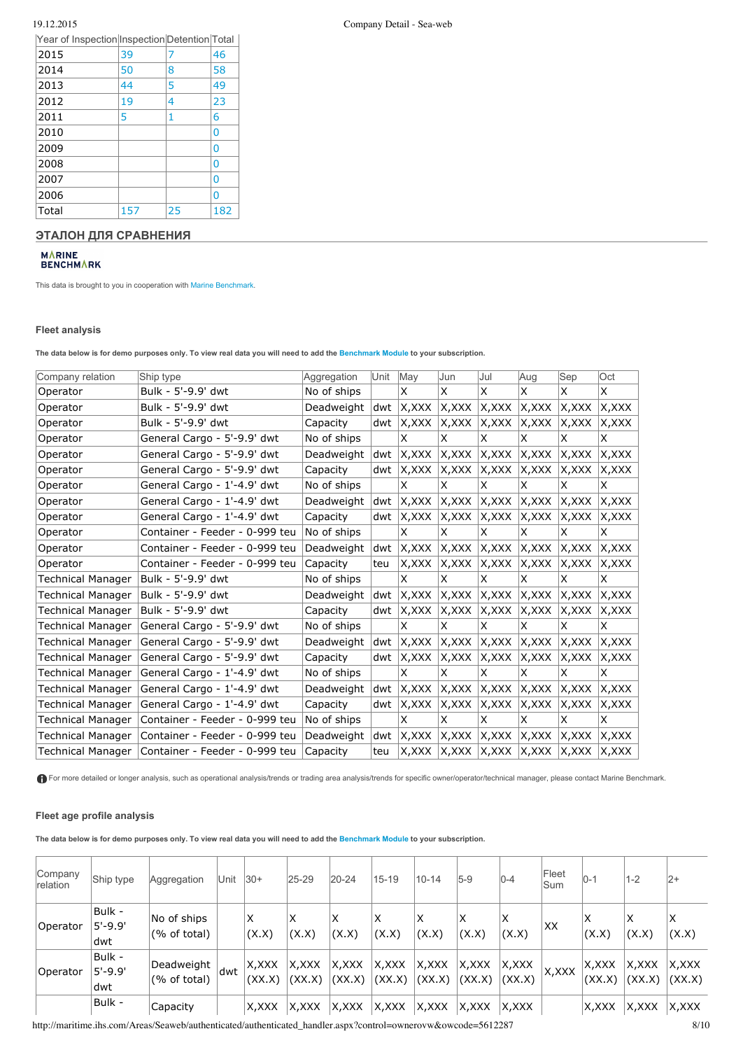| .                                             |     |    |     |
|-----------------------------------------------|-----|----|-----|
| Year of Inspection Inspection Detention Total |     |    |     |
| 2015                                          | 39  |    | 46  |
| 2014                                          | 50  | 8  | 58  |
| 2013                                          | 44  | 5  | 49  |
| 2012                                          | 19  | 4  | 23  |
| 2011                                          | 5   | 1  | 6   |
| 2010                                          |     |    | 0   |
| 2009                                          |     |    | 0   |
| 2008                                          |     |    | 0   |
| 2007                                          |     |    | 0   |
| 2006                                          |     |    | 0   |
| Total                                         | 157 | 25 | 182 |

#### **ЭТАЛОН ДЛЯ СРАВНЕНИЯ**

# M∧RINE<br>BENCHM∧RK

This data is brought to you in cooperation with Marine [Benchmark](http://marinebenchmark.com/index.html).

#### **Fleet analysis**

The data below is for demo purposes only. To view real data you will need to add the [Benchmark](http://maritime.ihs.com/EntitlementPortal/Home/Information/seaweb_benchmark) Module to your subscription.

| Company relation         | Ship type                      | Aggregation | Unit | May                               | Jun    | lJul   | Aug    | Sep    | Oct    |
|--------------------------|--------------------------------|-------------|------|-----------------------------------|--------|--------|--------|--------|--------|
| Operator                 | Bulk - 5'-9.9' dwt             | No of ships |      | X                                 | X      | X      | X      | X      | X.     |
| Operator                 | Bulk - 5'-9.9' dwt             | Deadweight  | dwt  | X, XXX                            | X,XXX  | X, XXX | X,XXX  | X,XXX  | X,XXX  |
| Operator                 | Bulk - 5'-9.9' dwt             | Capacity    | dwt  | X,XXX                             | X,XXX  | IX,XXX | X,XXX  | X,XXX  | X,XXX  |
| Operator                 | General Cargo - 5'-9.9' dwt    | No of ships |      | X                                 | X      | X      | x      | x      | X      |
| Operator                 | General Cargo - 5'-9.9' dwt    | Deadweight  | dwt  | X, XXX                            | X,XXX  | X, XXX | X,XXX  | X,XXX  | X, XXX |
| Operator                 | General Cargo - 5'-9.9' dwt    | Capacity    | dwt  | X, XXX                            | X,XXX  | X, XXX | X,XXX  | X, XXX | X,XXX  |
| Operator                 | General Cargo - 1'-4.9' dwt    | No of ships |      | ΙX.                               | X      | X      | X      | x      | X      |
| Operator                 | General Cargo - 1'-4.9' dwt    | Deadweight  | dwt  | X, XXX                            | X, XXX | X, XXX | X, XXX | X, XXX | X,XXX  |
| Operator                 | General Cargo - 1'-4.9' dwt    | Capacity    | dwt  | X, XXX                            | X, XXX | X, XXX | X,XXX  | X,XXX  | X,XXX  |
| Operator                 | Container - Feeder - 0-999 teu | No of ships |      | X                                 | X      | X      | X      | x      | X      |
| Operator                 | Container - Feeder - 0-999 teu | Deadweight  | dwt  | X, XXX                            | X,XXX  | X, XXX | X,XXX  | X,XXX  | X, XXX |
| Operator                 | Container - Feeder - 0-999 teu | Capacity    | teu  | X, XXX                            | X,XXX  | X, XXX | X,XXX  | X, XXX | X,XXX  |
| <b>Technical Manager</b> | Bulk - 5'-9.9' dwt             | No of ships |      | X                                 | X      | X      | X      | x      | X      |
| <b>Technical Manager</b> | Bulk - 5'-9.9' dwt             | Deadweight  | dwt  | X, XXX                            | X, XXX | X, XXX | X,XXX  | X,XXX  | X,XXX  |
| <b>Technical Manager</b> | Bulk - 5'-9.9' dwt             | Capacity    | dwt  | X, XXX                            | X,XXX  | X, XXX | X,XXX  | X,XXX  | X,XXX  |
| Technical Manager        | General Cargo - 5'-9.9' dwt    | No of ships |      | X                                 | X      | X      | X      | x      | X      |
| <b>Technical Manager</b> | General Cargo - 5'-9.9' dwt    | Deadweight  | dwt  | X,XXX                             | X, XXX | X, XXX | X,XXX  | X, XXX | X,XXX  |
| <b>Technical Manager</b> | General Cargo - 5'-9.9' dwt    | Capacity    | dwt  | X, XXX                            | X,XXX  | X, XXX | X,XXX  | X,XXX  | X,XXX  |
| <b>Technical Manager</b> | General Cargo - 1'-4.9' dwt    | No of ships |      | <b>X</b>                          | X      | X      | X      | X      | X      |
| <b>Technical Manager</b> | General Cargo - 1'-4.9' dwt    | Deadweight  | dwt  | X, XXX                            | X, XXX | X, XXX | X, XXX | X, XXX | X,XXX  |
| <b>Technical Manager</b> | General Cargo - 1'-4.9' dwt    | Capacity    | dwt  | X, XXX                            | X,XXX  | X, XXX | X,XXX  | X,XXX  | X,XXX  |
| Technical Manager        | Container - Feeder - 0-999 teu | No of ships |      | X                                 | X      | X      | X      | x      | X      |
| Technical Manager        | Container - Feeder - 0-999 teu | Deadweight  | dwt  | X, XXX                            | X,XXX  | X, XXX | X,XXX  | X, XXX | X,XXX  |
| <b>Technical Manager</b> | Container - Feeder - 0-999 teu | Capacity    | teu  | $ X, XXX \rangle  X, XXX \rangle$ |        | X, XXX | X, XXX | X, XXX | X,XXX  |

For more detailed or longer analysis, such as operational analysis/trends or trading area analysis/trends for specific owner/operator/technical manager, please contact Marine Benchmark.

#### **Fleet age profile analysis**

The data below is for demo purposes only. To view real data you will need to add the [Benchmark](http://maritime.ihs.com/EntitlementPortal/Home/Information/seaweb_benchmark) Module to your subscription.

| Company<br>relation | Ship type                     | Aggregation                 | Unit | $ 30+$          | 25-29           | $20 - 24$        | $15 - 19$       | $10 - 14$        | $5-9$           | $0 - 4$          | Fleet<br>lSum | $10-1$           | 1-2             | 2+              |
|---------------------|-------------------------------|-----------------------------|------|-----------------|-----------------|------------------|-----------------|------------------|-----------------|------------------|---------------|------------------|-----------------|-----------------|
| Operator            | Bulk -<br>$5' - 9.9'$<br>dwt  | No of ships<br>(% of total) |      | X<br>(X.X)      | X<br>(X.X)      | X<br>(X.X)       | X<br>(X.X)      | X<br>(X.X)       | X<br>(X.X)      | X<br>(X.X)       | XX            | X<br>(X.X)       | X<br>(X.X)      | x<br>(X.X)      |
| Operator            | Bulk -<br>$5' - 9.9'$<br>ldwt | Deadweight<br>(% of total)  | ldwt | X,XXX<br>(XX.X) | X,XXX<br>(XX.X) | X, XXX<br>(XX.X) | X,XXX<br>(XX.X) | X, XXX<br>(XX.X) | X,XXX<br>(XX,X) | X, XXX<br>(XX.X) | X, XXX        | X, XXX<br>(XX.X) | X,XXX<br>(XX.X) | X,XXX<br>(XX.X) |
|                     | Bulk -                        | Capacity                    |      | X, XXX          | X,XXX           | X, XXX           | X,XXX           | X, XXX           | X, XXX          | X, XXX           |               | X,XXX            | X,XXX           | X,XXX           |

http://maritime.ihs.com/Areas/Seaweb/authenticated/authenticated\_handler.aspx?control=ownerovw&owcode=5612287 8/10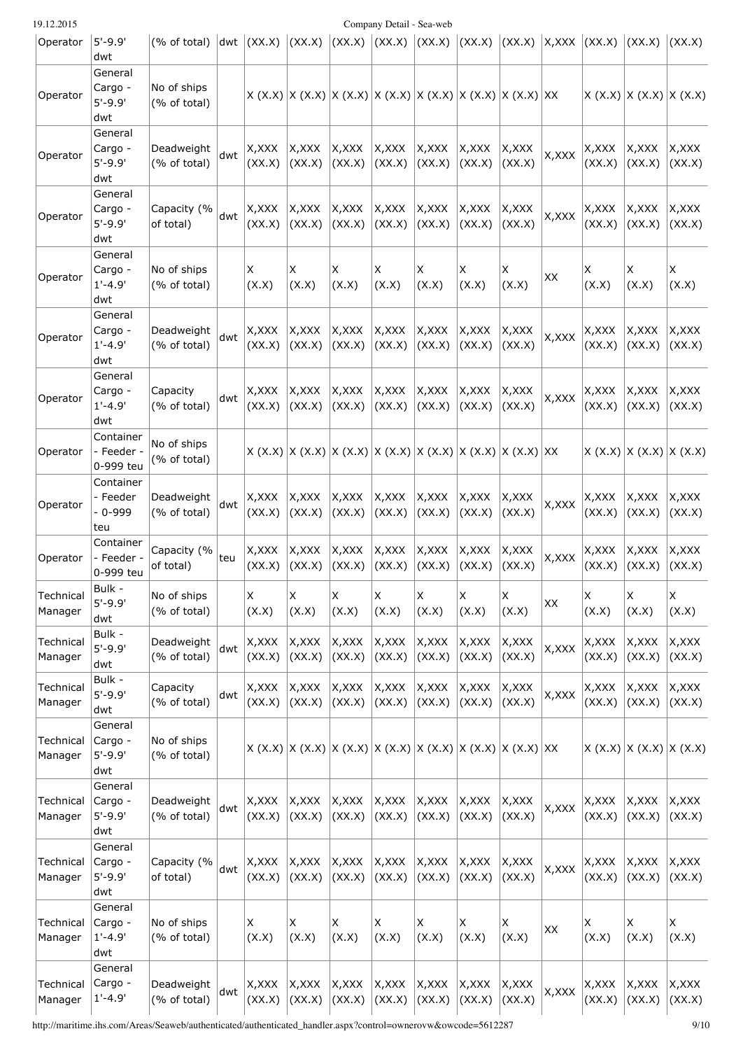| 19.12.2015           |                                          |                             |     |                  |                  |                                                                                 | Company Detail - Sea-web |                  |                  |                   |        |                                   |                           |                  |
|----------------------|------------------------------------------|-----------------------------|-----|------------------|------------------|---------------------------------------------------------------------------------|--------------------------|------------------|------------------|-------------------|--------|-----------------------------------|---------------------------|------------------|
| Operator             | $5'-9.9'$<br>dwt                         | (% of total)                |     | $ dwt $ $(XX.X)$ | (XX,X)           | $\vert$ (XX.X) $\vert$ (XX.X)                                                   |                          | (XX,X)           |                  | $(XX.X)$ $(XX.X)$ |        | X, XXX   (XX.X)   (XX.X)   (XX.X) |                           |                  |
| Operator             | General<br>Cargo -<br>$5' - 9.9'$<br>dwt | No of ships<br>(% of total) |     |                  |                  | $X (X.X)  X (X.X)  X (X.X)  X (X.X)  X (X.X)  X (X.X)  X (X.X)  X (X.X)  X X X$ |                          |                  |                  |                   |        |                                   | X (X.X)  X (X.X)  X (X.X) |                  |
| Operator             | General<br>Cargo -<br>$5' - 9.9'$<br>dwt | Deadweight<br>(% of total)  | dwt | X,XXX<br>(XX.X)  | X,XXX<br>(XX.X)  | X, XXX<br>(XX.X)                                                                | X, XXX<br>(XX.X)         | X, XXX<br>(XX.X) | X,XXX<br>(XX.X)  | X, XXX<br>(XX.X)  | X, XXX | X,XXX<br>(XX.X)                   | X, XXX<br>(XX.X)          | X,XXX<br>(XX.X)  |
| Operator             | General<br>Cargo -<br>$5'-9.9'$<br>dwt   | Capacity (%<br>of total)    | dwt | X,XXX<br>(XX.X)  | X,XXX<br>(XX.X)  | X, XXX<br>(XX.X)                                                                | X, XXX<br>(XX.X)         | X, XXX<br>(XX.X) | X, XXX<br>(XX.X) | X, XXX<br>(XX.X)  | X, XXX | X,XXX<br>(XX.X)                   | X, XXX<br>(XX.X)          | X, XXX<br>(XX.X) |
| Operator             | General<br>Cargo -<br>$1'-4.9'$<br>dwt   | No of ships<br>(% of total) |     | X<br>(X.X)       | X<br>(X.X)       | ΙX<br>(X.X)                                                                     | X<br>(X.X)               | X<br>(X.X)       | X<br>(X.X)       | х<br>(X.X)        | XX     | X<br>(X.X)                        | х<br>(X.X)                | X<br>(X.X)       |
| Operator             | General<br>Cargo -<br>$1'-4.9'$<br>dwt   | Deadweight<br>(% of total)  | dwt | X, XXX<br>(XX.X) | X, XXX<br>(XX.X) | X, XXX<br>(XX.X)                                                                | X, XXX<br>(XX.X)         | X, XXX<br>(XX.X) | X, XXX<br>(XX.X) | X, XXX<br>(XX.X)  | X, XXX | X, XXX<br>(XX.X)                  | X,XXX<br>(XX.X)           | X, XXX<br>(XX.X) |
| Operator             | General<br>Cargo -<br>$1'-4.9'$<br>dwt   | Capacity<br>(% of total)    | dwt | X,XXX<br>(XX.X)  | X,XXX<br>(XX.X)  | X, XXX<br>(XX.X)                                                                | X, XXX<br>(XX.X)         | X, XXX<br>(XX.X) | X, XXX<br>(XX.X) | X, XXX<br>(XX.X)  | X, XXX | X,XXX<br>(XX.X)                   | X,XXX<br>(XX.X)           | X, XXX<br>(XX.X) |
| Operator             | Container<br>- Feeder -<br>0-999 teu     | No of ships<br>(% of total) |     |                  |                  | X (X.X)  X (X.X)  X (X.X)  X (X.X)  X (X.X)  X (X.X)  X (X.X)  X (X.X)  XX      |                          |                  |                  |                   |        |                                   | X (X.X)  X (X.X)  X (X.X) |                  |
| Operator             | Container<br>- Feeder<br>- 0-999<br>teu  | Deadweight<br>(% of total)  | dwt | X, XXX<br>(XX.X) | X,XXX<br>(XX.X)  | X, XXX<br>(XX.X)                                                                | X, XXX<br>(XX.X)         | X, XXX<br>(XX.X) | X,XXX<br>(XX.X)  | X,XXX<br>(XX.X)   | X, XXX | X,XXX<br>(XX.X)                   | X,XXX<br>(XX.X)           | X,XXX<br>(XX.X)  |
| Operator             | Container<br>- Feeder -<br>0-999 teu     | Capacity (%<br>of total)    | teu | X,XXX<br>(XX.X)  | X,XXX<br>(XX.X)  | X, XXX<br>(XX,X)                                                                | X,XXX<br>(XX.X)          | X, XXX<br>(XX.X) | X,XXX<br>(XX.X)  | X, XXX<br>(XX.X)  | X, XXX | X,XXX<br>(XX.X)                   | X,XXX<br>(XX.X)           | X,XXX<br>(XX.X)  |
| Technical<br>Manager | Bulk -<br>$5' - 9.9'$<br>dwt             | No of ships<br>(% of total) |     | X<br>(X.X)       | X<br>(X.X)       | IX.<br>(X.X)                                                                    | X<br>(X.X)               | X<br>(X.X)       | Χ<br>(X.X)       | X<br>(X.X)        | XX     | X<br>(X.X)                        | X<br>(X.X)                | X<br>(X.X)       |
| Technical<br>Manager | Bulk -<br>$5' - 9.9'$<br>dwt             | Deadweight<br>(% of total)  | dwt | X, XXX<br>(XX.X) | X, XXX<br>(XX.X) | X, XXX<br>(XX,X)                                                                | X, XXX<br>(XX.X)         | X, XXX<br>(XX.X) | X, XXX<br>(XX.X) | X, XXX<br>(XX.X)  | X, XXX | X,XXX<br>(XX.X)                   | X, XXX<br>(XX.X)          | X, XXX<br>(XX.X) |
| Technical<br>Manager | Bulk -<br>$5' - 9.9'$<br>dwt             | Capacity<br>(% of total)    | dwt | X, XXX<br>(XX.X) | X, XXX<br>(XX.X) | X, XXX<br>(XX,X)                                                                | X, XXX<br>(XX.X)         | X, XXX<br>(XX.X) | X, XXX<br>(XX.X) | X, XXX<br>(XX.X)  | X, XXX | X,XXX<br>(XX.X)                   | X, XXX<br>(XX.X)          | X, XXX<br>(XX.X) |
| Technical<br>Manager | General<br>Cargo -<br>$5'-9.9'$<br>dwt   | No of ships<br>(% of total) |     |                  |                  | $ X (X.X)  X (X.X)  X (X.X)  X (X.X)  X (X.X)  X (X.X)  X (X.X)  X X$           |                          |                  |                  |                   |        |                                   | X (X.X)  X (X.X)  X (X.X) |                  |
| Technical<br>Manager | General<br>Cargo -<br>$5'-9.9'$<br>dwt   | Deadweight<br>(% of total)  | dwt | X,XXX<br>(XX.X)  | X, XXX<br>(XX.X) | X, XXX<br>(XX.X)                                                                | X, XXX<br>(XX.X)         | X, XXX<br>(XX.X) | X, XXX<br>(XX.X) | X, XXX<br>(XX.X)  | X, XXX | X,XXX<br>(XX.X)                   | X, XXX<br>(XX.X)          | X, XXX<br>(XX.X) |
| Technical<br>Manager | General<br>Cargo -<br>$5'-9.9'$<br>dwt   | Capacity (%<br>of total)    | dwt | X, XXX<br>(XX.X) | X, XXX<br>(XX.X) | X, XXX<br>(XX.X)                                                                | X, XXX<br>(XX.X)         | X, XXX<br>(XX.X) | X, XXX<br>(XX.X) | X, XXX<br>(XX.X)  | X, XXX | X, XXX<br>(XX.X)                  | X, XXX<br>(XX.X)          | X, XXX<br>(XX.X) |
| Technical<br>Manager | General<br>Cargo -<br>$1'-4.9'$<br>dwt   | No of ships<br>(% of total) |     | X<br>(X.X)       | X<br>(X.X)       | X<br>(X.X)                                                                      | X<br>(X.X)               | Χ<br>(X.X)       | Χ<br>(X.X)       | X<br>(X.X)        | XX     | X<br>(X.X)                        | X<br>(X.X)                | X<br>(X.X)       |
| Technical<br>Manager | General<br>Cargo -<br>$1' - 4.9'$        | Deadweight<br>(% of total)  | dwt | X, XXX<br>(XX.X) | X, XXX<br>(XX.X) | X,XXX<br>(XX,X)                                                                 | X, XXX<br>(XX.X)         | X, XXX<br>(XX.X) | X, XXX<br>(XX.X) | X, XXX<br>(XX.X)  | X, XXX | X, XXX<br>(XX.X)                  | X, XXX<br>(XX.X)          | X,XXX<br>(XX.X)  |